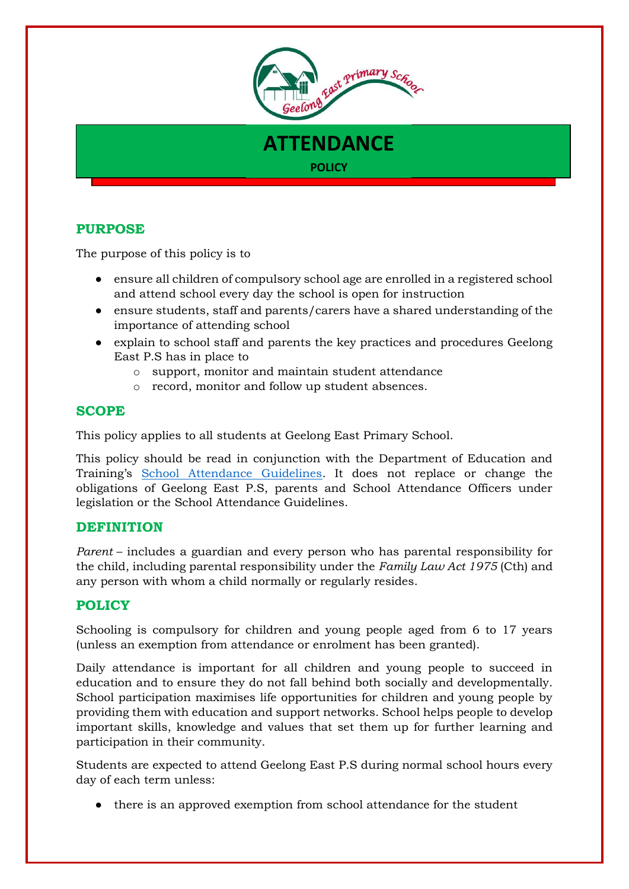

**ATTENDANCE POLICY**

# **PURPOSE**

The purpose of this policy is to

- ensure all children of compulsory school age are enrolled in a registered school and attend school every day the school is open for instruction
- ensure students, staff and parents/carers have a shared understanding of the importance of attending school
- explain to school staff and parents the key practices and procedures Geelong East P.S has in place to
	- o support, monitor and maintain student attendance
	- o record, monitor and follow up student absences.

## **SCOPE**

This policy applies to all students at Geelong East Primary School.

This policy should be read in conjunction with the Department of Education and Training's [School Attendance Guidelines.](http://www.education.vic.gov.au/school/teachers/studentmanagement/Pages/attendance.aspx) It does not replace or change the obligations of Geelong East P.S, parents and School Attendance Officers under legislation or the School Attendance Guidelines.

# **DEFINITION**

*Parent* – includes a guardian and every person who has parental responsibility for the child, including parental responsibility under the *Family Law Act 1975* (Cth) and any person with whom a child normally or regularly resides.

# **POLICY**

Schooling is compulsory for children and young people aged from 6 to 17 years (unless an exemption from attendance or enrolment has been granted).

Daily attendance is important for all children and young people to succeed in education and to ensure they do not fall behind both socially and developmentally. School participation maximises life opportunities for children and young people by providing them with education and support networks. School helps people to develop important skills, knowledge and values that set them up for further learning and participation in their community.

Students are expected to attend Geelong East P.S during normal school hours every day of each term unless:

• there is an approved exemption from school attendance for the student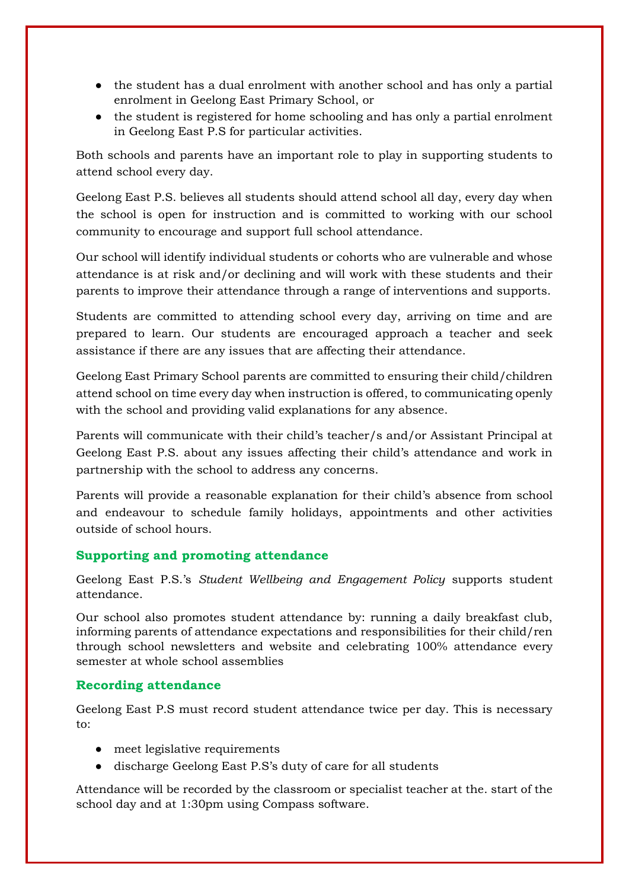- the student has a dual enrolment with another school and has only a partial enrolment in Geelong East Primary School, or
- the student is registered for home schooling and has only a partial enrolment in Geelong East P.S for particular activities.

Both schools and parents have an important role to play in supporting students to attend school every day.

Geelong East P.S. believes all students should attend school all day, every day when the school is open for instruction and is committed to working with our school community to encourage and support full school attendance.

Our school will identify individual students or cohorts who are vulnerable and whose attendance is at risk and/or declining and will work with these students and their parents to improve their attendance through a range of interventions and supports.

Students are committed to attending school every day, arriving on time and are prepared to learn. Our students are encouraged approach a teacher and seek assistance if there are any issues that are affecting their attendance.

Geelong East Primary School parents are committed to ensuring their child/children attend school on time every day when instruction is offered, to communicating openly with the school and providing valid explanations for any absence.

Parents will communicate with their child's teacher/s and/or Assistant Principal at Geelong East P.S. about any issues affecting their child's attendance and work in partnership with the school to address any concerns.

Parents will provide a reasonable explanation for their child's absence from school and endeavour to schedule family holidays, appointments and other activities outside of school hours.

#### **Supporting and promoting attendance**

Geelong East P.S.'s *Student Wellbeing and Engagement Policy* supports student attendance.

Our school also promotes student attendance by: running a daily breakfast club, informing parents of attendance expectations and responsibilities for their child/ren through school newsletters and website and celebrating 100% attendance every semester at whole school assemblies

#### **Recording attendance**

Geelong East P.S must record student attendance twice per day. This is necessary to:

- meet legislative requirements
- discharge Geelong East P.S's duty of care for all students

Attendance will be recorded by the classroom or specialist teacher at the. start of the school day and at 1:30pm using Compass software.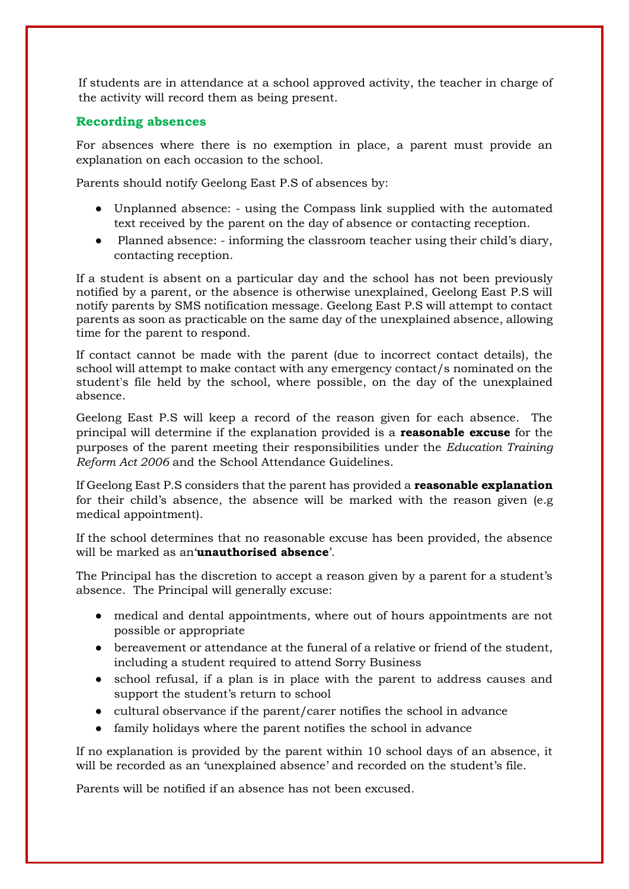If students are in attendance at a school approved activity, the teacher in charge of the activity will record them as being present.

## **Recording absences**

For absences where there is no exemption in place, a parent must provide an explanation on each occasion to the school.

Parents should notify Geelong East P.S of absences by:

- Unplanned absence: using the Compass link supplied with the automated text received by the parent on the day of absence or contacting reception.
- Planned absence: informing the classroom teacher using their child's diary, contacting reception.

If a student is absent on a particular day and the school has not been previously notified by a parent, or the absence is otherwise unexplained, Geelong East P.S will notify parents by SMS notification message. Geelong East P.S will attempt to contact parents as soon as practicable on the same day of the unexplained absence, allowing time for the parent to respond.

If contact cannot be made with the parent (due to incorrect contact details), the school will attempt to make contact with any emergency contact/s nominated on the student's file held by the school, where possible, on the day of the unexplained absence.

Geelong East P.S will keep a record of the reason given for each absence. The principal will determine if the explanation provided is a **reasonable excuse** for the purposes of the parent meeting their responsibilities under the *Education Training Reform Act 2006* and the School Attendance Guidelines.

If Geelong East P.S considers that the parent has provided a **reasonable explanation** for their child's absence, the absence will be marked with the reason given (e.g medical appointment).

If the school determines that no reasonable excuse has been provided, the absence will be marked as an'**unauthorised absence**'.

The Principal has the discretion to accept a reason given by a parent for a student's absence. The Principal will generally excuse:

- medical and dental appointments, where out of hours appointments are not possible or appropriate
- bereavement or attendance at the funeral of a relative or friend of the student, including a student required to attend Sorry Business
- school refusal, if a plan is in place with the parent to address causes and support the student's return to school
- cultural observance if the parent/carer notifies the school in advance
- family holidays where the parent notifies the school in advance

If no explanation is provided by the parent within 10 school days of an absence, it will be recorded as an 'unexplained absence' and recorded on the student's file.

Parents will be notified if an absence has not been excused.